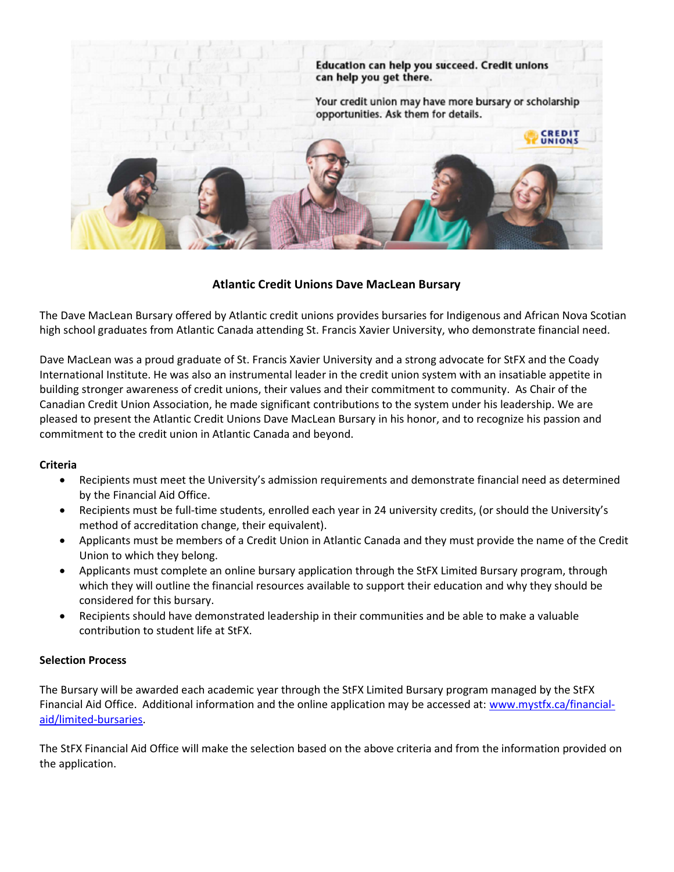

# Atlantic Credit Unions Dave MacLean Bursary

The Dave MacLean Bursary offered by Atlantic credit unions provides bursaries for Indigenous and African Nova Scotian high school graduates from Atlantic Canada attending St. Francis Xavier University, who demonstrate financial need.

Dave MacLean was a proud graduate of St. Francis Xavier University and a strong advocate for StFX and the Coady International Institute. He was also an instrumental leader in the credit union system with an insatiable appetite in building stronger awareness of credit unions, their values and their commitment to community. As Chair of the Canadian Credit Union Association, he made significant contributions to the system under his leadership. We are pleased to present the Atlantic Credit Unions Dave MacLean Bursary in his honor, and to recognize his passion and commitment to the credit union in Atlantic Canada and beyond.

#### Criteria

- Recipients must meet the University's admission requirements and demonstrate financial need as determined by the Financial Aid Office.
- Recipients must be full-time students, enrolled each year in 24 university credits, (or should the University's method of accreditation change, their equivalent).
- Applicants must be members of a Credit Union in Atlantic Canada and they must provide the name of the Credit Union to which they belong.
- Applicants must complete an online bursary application through the StFX Limited Bursary program, through which they will outline the financial resources available to support their education and why they should be considered for this bursary.
- Recipients should have demonstrated leadership in their communities and be able to make a valuable contribution to student life at StFX.

#### Selection Process

The Bursary will be awarded each academic year through the StFX Limited Bursary program managed by the StFX Financial Aid Office. Additional information and the online application may be accessed at: www.mystfx.ca/financialaid/limited-bursaries.

The StFX Financial Aid Office will make the selection based on the above criteria and from the information provided on the application.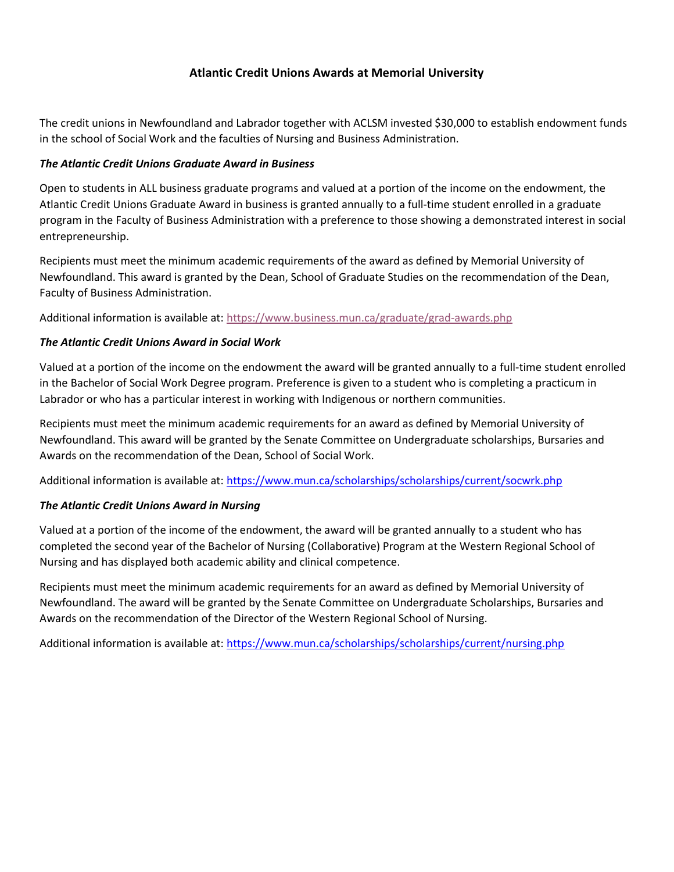# Atlantic Credit Unions Awards at Memorial University

The credit unions in Newfoundland and Labrador together with ACLSM invested \$30,000 to establish endowment funds in the school of Social Work and the faculties of Nursing and Business Administration.

### The Atlantic Credit Unions Graduate Award in Business

Open to students in ALL business graduate programs and valued at a portion of the income on the endowment, the Atlantic Credit Unions Graduate Award in business is granted annually to a full-time student enrolled in a graduate program in the Faculty of Business Administration with a preference to those showing a demonstrated interest in social entrepreneurship.

Recipients must meet the minimum academic requirements of the award as defined by Memorial University of Newfoundland. This award is granted by the Dean, School of Graduate Studies on the recommendation of the Dean, Faculty of Business Administration.

Additional information is available at: https://www.business.mun.ca/graduate/grad-awards.php

### The Atlantic Credit Unions Award in Social Work

Valued at a portion of the income on the endowment the award will be granted annually to a full-time student enrolled in the Bachelor of Social Work Degree program. Preference is given to a student who is completing a practicum in Labrador or who has a particular interest in working with Indigenous or northern communities.

Recipients must meet the minimum academic requirements for an award as defined by Memorial University of Newfoundland. This award will be granted by the Senate Committee on Undergraduate scholarships, Bursaries and Awards on the recommendation of the Dean, School of Social Work.

Additional information is available at: https://www.mun.ca/scholarships/scholarships/current/socwrk.php

## The Atlantic Credit Unions Award in Nursing

Valued at a portion of the income of the endowment, the award will be granted annually to a student who has completed the second year of the Bachelor of Nursing (Collaborative) Program at the Western Regional School of Nursing and has displayed both academic ability and clinical competence.

Recipients must meet the minimum academic requirements for an award as defined by Memorial University of Newfoundland. The award will be granted by the Senate Committee on Undergraduate Scholarships, Bursaries and Awards on the recommendation of the Director of the Western Regional School of Nursing.

Additional information is available at: https://www.mun.ca/scholarships/scholarships/current/nursing.php